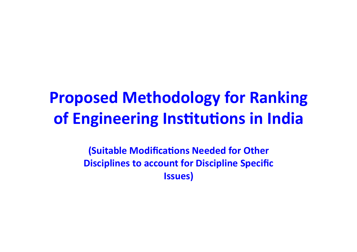# **Proposed Methodology for Ranking of Engineering Institutions in India**

**(Suitable Modifications Needed for Other Disciplines to account for Discipline Specific Issues)**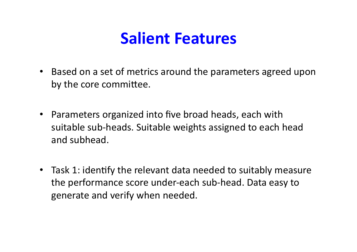## **Salient Features**

- Based on a set of metrics around the parameters agreed upon by the core committee.
- Parameters organized into five broad heads, each with suitable sub-heads. Suitable weights assigned to each head and subhead.
- Task 1: identify the relevant data needed to suitably measure the performance score under-each sub-head. Data easy to generate and verify when needed.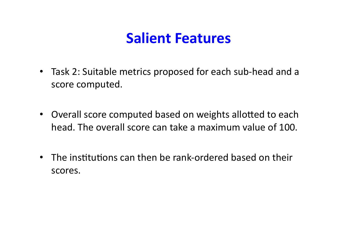#### **Salient Features**

- Task 2: Suitable metrics proposed for each sub-head and a score computed.
- Overall score computed based on weights allotted to each head. The overall score can take a maximum value of 100.
- The institutions can then be rank-ordered based on their scores.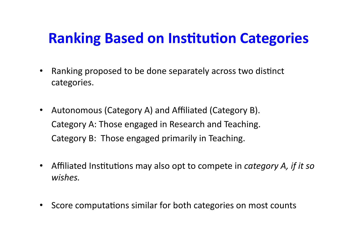#### **Ranking Based on Institution Categories**

- Ranking proposed to be done separately across two distinct categories.
- Autonomous (Category A) and Affiliated (Category B). Category A: Those engaged in Research and Teaching. Category B: Those engaged primarily in Teaching.
- Affiliated Institutions may also opt to compete in *category A, if it so wishes.*
- Score computations similar for both categories on most counts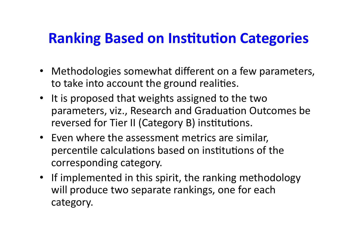#### **Ranking Based on Institution Categories**

- Methodologies somewhat different on a few parameters, to take into account the ground realities.
- It is proposed that weights assigned to the two parameters, viz., Research and Graduation Outcomes be reversed for Tier II (Category B) institutions.
- Even where the assessment metrics are similar, percentile calculations based on institutions of the corresponding category.
- If implemented in this spirit, the ranking methodology will produce two separate rankings, one for each category.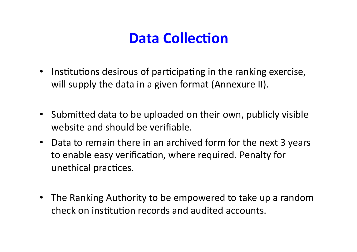### **Data Collection**

- Institutions desirous of participating in the ranking exercise, will supply the data in a given format (Annexure II).
- Submitted data to be uploaded on their own, publicly visible website and should be verifiable.
- Data to remain there in an archived form for the next 3 years to enable easy verification, where required. Penalty for unethical practices.
- The Ranking Authority to be empowered to take up a random check on institution records and audited accounts.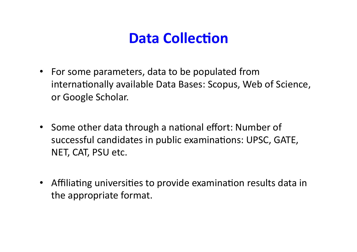#### **Data Collection**

- For some parameters, data to be populated from internationally available Data Bases: Scopus, Web of Science, or Google Scholar.
- Some other data through a national effort: Number of successful candidates in public examinations: UPSC, GATE, NET, CAT, PSU etc.
- Affiliating universities to provide examination results data in the appropriate format.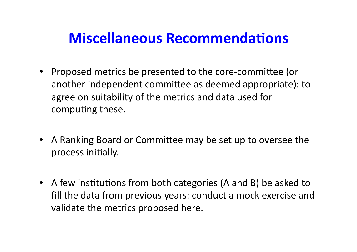#### **Miscellaneous Recommendations**

- Proposed metrics be presented to the core-committee (or another independent committee as deemed appropriate): to agree on suitability of the metrics and data used for computing these.
- A Ranking Board or Committee may be set up to oversee the process initially.
- A few institutions from both categories (A and B) be asked to fill the data from previous years: conduct a mock exercise and validate the metrics proposed here.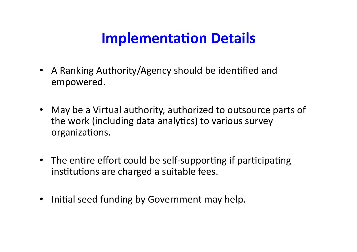#### **Implementation Details**

- A Ranking Authority/Agency should be identified and empowered.
- May be a Virtual authority, authorized to outsource parts of the work (including data analytics) to various survey organizations.
- The entire effort could be self-supporting if participating institutions are charged a suitable fees.
- Initial seed funding by Government may help.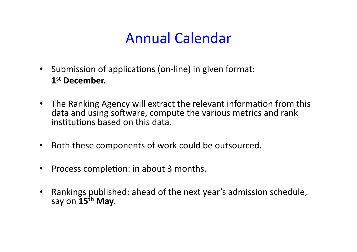### Annual Calendar

- Submission of applications (on-line) in given format: 1st December.
- The Ranking Agency will extract the relevant information from this data and using software, compute the various metrics and rank institutions based on this data.
- Both these components of work could be outsourced.
- Process completion: in about 3 months.
- Rankings published: ahead of the next year's admission schedule, say on 15<sup>th</sup> May.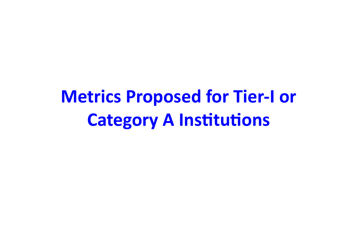**Metrics Proposed for Tier-I or Category A Institutions**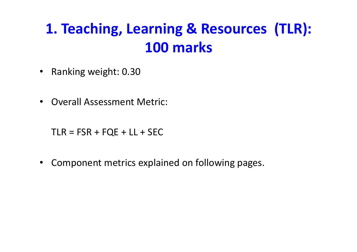## **1. Teaching, Learning & Resources (TLR): 100 marks**

- Ranking weight: 0.30
- Overall Assessment Metric:

 $TLR = FSR + FQE + LL + SEC$ 

• Component metrics explained on following pages.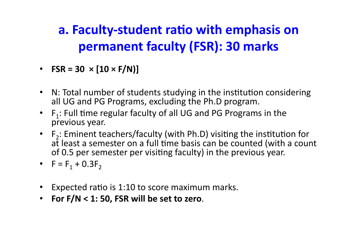#### **a. Faculty-student ratio with emphasis on permanent faculty (FSR): 30 marks**

- **FSR** = 30  $\times$  [10  $\times$  F/N)]
- N: Total number of students studying in the institution considering all UG and PG Programs, excluding the Ph.D program.
- $F_1$ : Full time regular faculty of all UG and PG Programs in the previous year.
- $F_2$ : Eminent teachers/faculty (with Ph.D) visiting the institution for at least a semester on a full time basis can be counted (with a count of 0.5 per semester per visiting faculty) in the previous year.
- $F = F_1 + 0.3F_2$
- Expected ratio is 1:10 to score maximum marks.
- For  $F/N < 1$ : 50, FSR will be set to zero.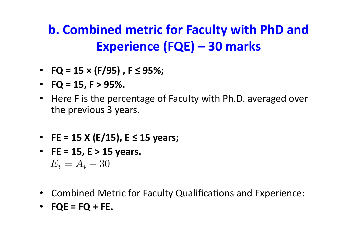#### **b. Combined metric for Faculty with PhD and Experience (FQE) – 30 marks**

- $FQ = 15 \times (F/95)$ ,  $F \le 95\%$ ;
- $FQ = 15, F > 95\%$ .
- Here F is the percentage of Faculty with Ph.D. averaged over the previous 3 years.
- **FE** = 15 X (E/15),  $E \le 15$  years;
- $FE = 15, E > 15$  years.  $E_i = A_i - 30$
- Combined Metric for Faculty Qualifications and Experience:
- $\cdot$  **FQE** = **FQ** + **FE.**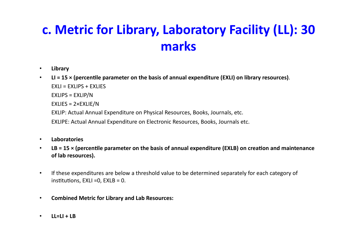#### c. Metric for Library, Laboratory Facility (LL): 30 **marks**

- **Library**
- LI = 15 x (percentile parameter on the basis of annual expenditure (EXLI) on library resources).  $FXII = FXIIPS + FXIIFS$  $EXLIPS = EXLIP/N$  $EXLIES = 2 \times EXLIE/N$ EXLIP: Actual Annual Expenditure on Physical Resources, Books, Journals, etc. EXLIPE: Actual Annual Expenditure on Electronic Resources, Books, Journals etc.
- **Laboratories**
- LB = 15 × (percentile parameter on the basis of annual expenditure (EXLB) on creation and maintenance of lab resources).
- If these expenditures are below a threshold value to be determined separately for each category of institutions,  $EXLI = 0$ ,  $EXLB = 0$ .
- **Combined Metric for Library and Lab Resources:**
- $\cdot$  **LL=LI + LB**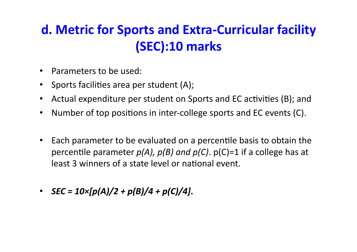#### d. Metric for Sports and Extra-Curricular facility **(SEC):10 marks**

- Parameters to be used:
- Sports facilities area per student (A);
- Actual expenditure per student on Sports and EC activities (B); and
- Number of top positions in inter-college sports and EC events (C).
- Each parameter to be evaluated on a percentile basis to obtain the percentile parameter  $p(A)$ ,  $p(B)$  and  $p(C)$ .  $p(C)=1$  if a college has at least 3 winners of a state level or national event.
- *SEC* =  $10 \times [p(A)/2 + p(B)/4 + p(C)/4]$ .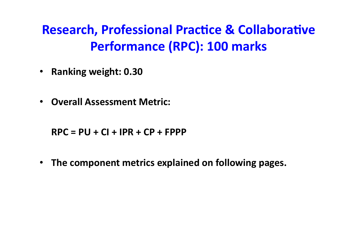#### **Research, Professional Practice & Collaborative Performance (RPC): 100 marks**

- **Ranking weight: 0.30**
- **Overall Assessment Metric:**

 $RPC = PU + CI + IPR + CP + FPPP$ 

• The component metrics explained on following pages.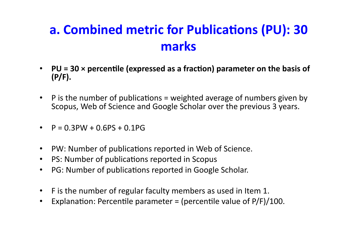#### **a. Combined metric for Publications (PU): 30 marks**

- PU = 30 x percentile (expressed as a fraction) parameter on the basis of **(P/F).**
- P is the number of publications = weighted average of numbers given by Scopus, Web of Science and Google Scholar over the previous 3 years.
- $P = 0.3$ PW + 0.6PS + 0.1PG
- PW: Number of publications reported in Web of Science.
- PS: Number of publications reported in Scopus
- PG: Number of publications reported in Google Scholar.
- F is the number of regular faculty members as used in Item 1.
- Explanation: Percentile parameter = (percentile value of  $P/F$ )/100.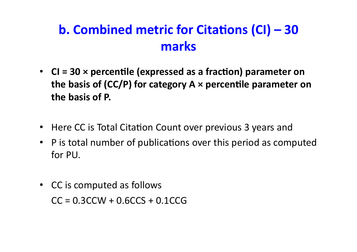#### **b. Combined metric for Citations (CI) – 30 marks**

- CI = 30 × percentile (expressed as a fraction) parameter on the basis of (CC/P) for category  $A \times$  percentile parameter on the basis of P.
- Here CC is Total Citation Count over previous 3 years and
- P is total number of publications over this period as computed for PU.
- CC is computed as follows  $CC = 0.3CCW + 0.6CCS + 0.1CCG$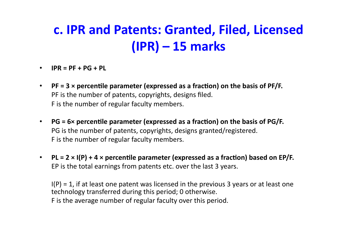#### **c. IPR and Patents: Granted, Filed, Licensed (IPR) – 15 marks**

- $\cdot$  **IPR** =  $PF + PG + PL$
- PF =  $3 \times$  percentile parameter (expressed as a fraction) on the basis of PF/F. PF is the number of patents, copyrights, designs filed. F is the number of regular faculty members.
- PG = 6× percentile parameter (expressed as a fraction) on the basis of PG/F. PG is the number of patents, copyrights, designs granted/registered. F is the number of regular faculty members.
- PL =  $2 \times I(P) + 4 \times$  percentile parameter (expressed as a fraction) based on EP/F. EP is the total earnings from patents etc. over the last 3 years.

 $I(P) = 1$ , if at least one patent was licensed in the previous 3 years or at least one technology transferred during this period; 0 otherwise. F is the average number of regular faculty over this period.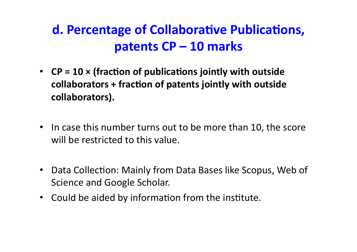#### **d. Percentage of Collaborative Publications, patents CP – 10 marks**

- CP = 10 × (fraction of publications jointly with outside collaborators + fraction of patents jointly with outside **collaborators).**
- In case this number turns out to be more than 10, the score will be restricted to this value.
- Data Collection: Mainly from Data Bases like Scopus, Web of Science and Google Scholar.
- Could be aided by information from the institute.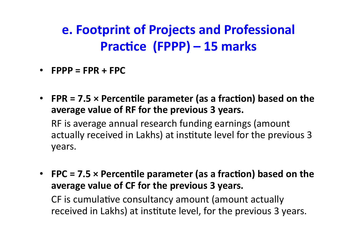#### **e. Footprint of Projects and Professional Practice (FPPP) – 15 marks**

- $FPPP = FPR + FPC$
- FPR = 7.5  $\times$  Percentile parameter (as a fraction) based on the average value of RF for the previous 3 years.

RF is average annual research funding earnings (amount actually received in Lakhs) at institute level for the previous 3 years.

• FPC = 7.5  $\times$  Percentile parameter (as a fraction) based on the average value of CF for the previous 3 years.

CF is cumulative consultancy amount (amount actually received in Lakhs) at institute level, for the previous 3 years.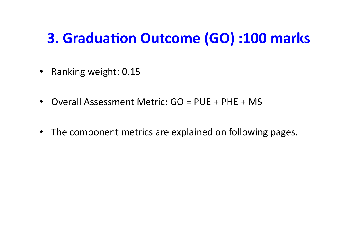#### **3. Graduation Outcome (GO) :100 marks**

- Ranking weight: 0.15
- Overall Assessment Metric: GO = PUE + PHE + MS
- The component metrics are explained on following pages.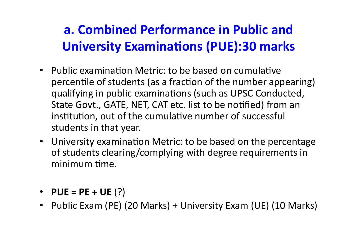#### **a. Combined Performance in Public and University Examinations (PUE):30 marks**

- Public examination Metric: to be based on cumulative percentile of students (as a fraction of the number appearing) qualifying in public examinations (such as UPSC Conducted, State Govt., GATE, NET, CAT etc. list to be notified) from an institution, out of the cumulative number of successful students in that year.
- University examination Metric: to be based on the percentage of students clearing/complying with degree requirements in minimum time.
- **PUE** =  $PE + UE$  (?)
- Public Exam (PE) (20 Marks) + University Exam (UE) (10 Marks)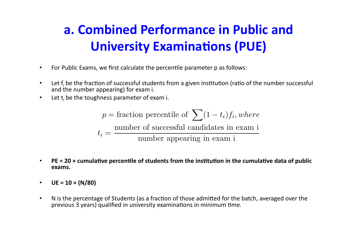#### **a. Combined Performance in Public and University Examinations (PUE)**

- For Public Exams, we first calculate the percentile parameter p as follows:
- Let  $f_i$  be the fraction of successful students from a given institution (ratio of the number successful and the number appearing) for exam i.
- Let  $t_i$  be the toughness parameter of exam i.

$$
p =
$$
fraction percentile of  $\sum (1 - t_i) f_i$ , where  
 $t_i = \frac{\text{number of successful candidates in exam i}}{\text{number appearing in exam i}}$ 

- PE = 20 x cumulative percentile of students from the institution in the cumulative data of public **exams.**
- $UE = 10 \times (N/80)$
- N is the percentage of Students (as a fraction of those admitted for the batch, averaged over the previous 3 years) qualified in university examinations in minimum time.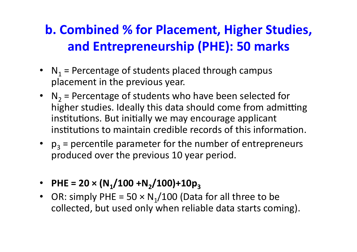#### **b. Combined % for Placement, Higher Studies, and Entrepreneurship (PHE): 50 marks**

- $N_1$  = Percentage of students placed through campus placement in the previous year.
- $N_2$  = Percentage of students who have been selected for higher studies. Ideally this data should come from admitting institutions. But initially we may encourage applicant institutions to maintain credible records of this information.
- $p_3$  = percentile parameter for the number of entrepreneurs produced over the previous 10 year period.
- PHE =  $20 \times (N_1/100 + N_2/100) + 10p_3$
- OR: simply PHE =  $50 \times N_1/100$  (Data for all three to be collected, but used only when reliable data starts coming).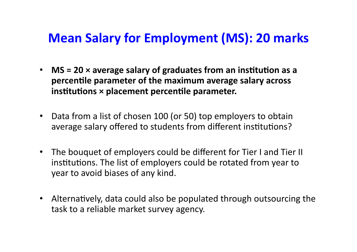#### **Mean Salary for Employment (MS): 20 marks**

- MS = 20  $\times$  average salary of graduates from an institution as a **percentile parameter of the maximum average salary across institutions**  $\times$  placement percentile parameter.
- Data from a list of chosen 100 (or 50) top employers to obtain average salary offered to students from different institutions?
- The bouquet of employers could be different for Tier I and Tier II institutions. The list of employers could be rotated from year to year to avoid biases of any kind.
- Alternatively, data could also be populated through outsourcing the task to a reliable market survey agency.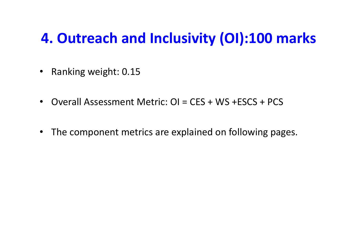#### **4. Outreach and Inclusivity (OI):100 marks**

- Ranking weight: 0.15
- Overall Assessment Metric: OI = CES + WS +ESCS + PCS
- The component metrics are explained on following pages.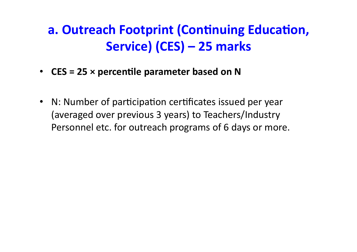#### **a. Outreach Footprint (Continuing Education,** Service) (CES) – 25 marks

- CES = 25  $\times$  percentile parameter based on N
- N: Number of participation certificates issued per year (averaged over previous 3 years) to Teachers/Industry Personnel etc. for outreach programs of 6 days or more.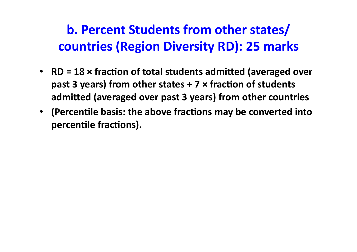#### **b. Percent Students from other states/ countries (Region Diversity RD): 25 marks**

- **RD** = 18 × fraction of total students admitted (averaged over **past 3 years) from other states + 7**  $\times$  **fraction of students** admitted (averaged over past 3 years) from other countries
- (Percentile basis: the above fractions may be converted into percentile fractions).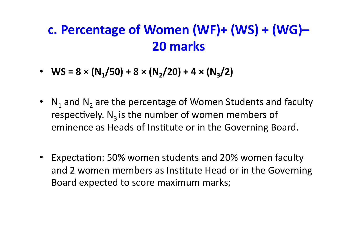#### **c. Percentage of Women (WF)+ (WS) + (WG)– 20 marks**

- **WS** =  $8 \times (N_1/50) + 8 \times (N_2/20) + 4 \times (N_3/2)$
- $N_1$  and  $N_2$  are the percentage of Women Students and faculty respectively.  $N_3$  is the number of women members of eminence as Heads of Institute or in the Governing Board.
- Expectation: 50% women students and 20% women faculty and 2 women members as Institute Head or in the Governing Board expected to score maximum marks;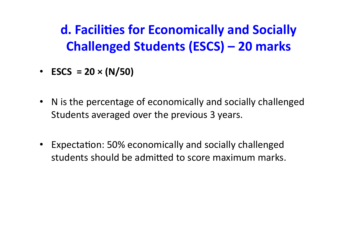**d. Facilities for Economically and Socially Challenged Students (ESCS) – 20 marks** 

- **ESCS** =  $20 \times (N/50)$
- N is the percentage of economically and socially challenged Students averaged over the previous 3 years.
- Expectation: 50% economically and socially challenged students should be admitted to score maximum marks.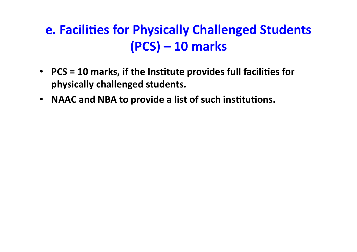#### **e. Facilities for Physically Challenged Students (PCS) – 10 marks**

- PCS = 10 marks, if the Institute provides full facilities for physically challenged students.
- **NAAC** and NBA to provide a list of such institutions.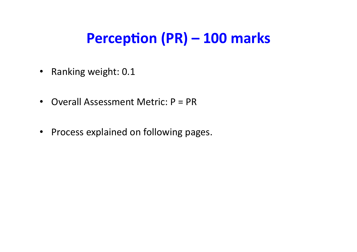### **Perception (PR) – 100 marks**

- Ranking weight: 0.1
- Overall Assessment Metric:  $P = PR$
- Process explained on following pages.